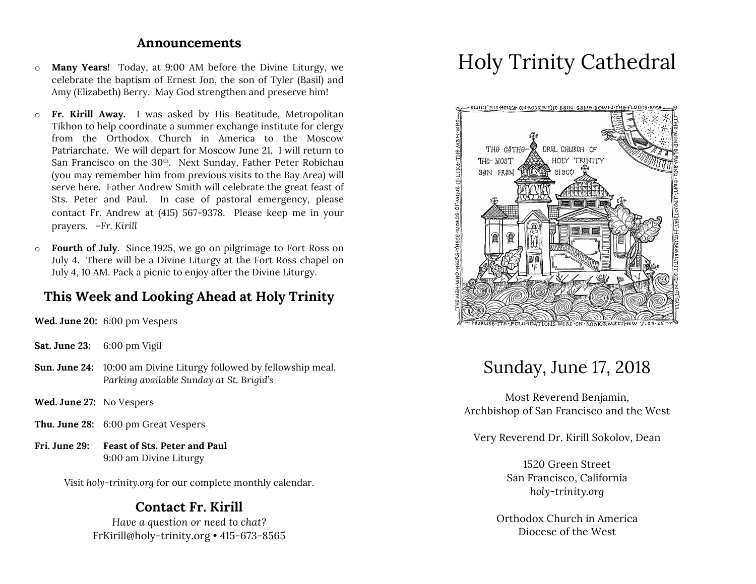#### **Announcements**

- o **Many Years!** Today, at 9:00 AM before the Divine Liturgy, we celebrate the baptism of Ernest Jon, the son of Tyler (Basil) and Amy (Elizabeth) Berry. May God strengthen and preserve him!
- o **Fr. Kirill Away.** I was asked by His Beatitude, Metropolitan Tikhon to help coordinate a summer exchange institute for clergy from the Orthodox Church in America to the Moscow Patriarchate. We will depart for Moscow June 21. I will return to San Francisco on the 30<sup>th</sup>. Next Sunday, Father Peter Robichau (you may remember him from previous visits to the Bay Area) will serve here. Father Andrew Smith will celebrate the great feast of Sts. Peter and Paul. In case of pastoral emergency, please contact Fr. Andrew at (415) 567-9378. Please keep me in your prayers. *–Fr. Kirill*
- o **Fourth of July.** Since 1925, we go on pilgrimage to Fort Ross on July 4. There will be a Divine Liturgy at the Fort Ross chapel on July 4, 10 AM. Pack a picnic to enjoy after the Divine Liturgy.

# **This Week and Looking Ahead at Holy Trinity**

**Wed. June 20:** 6:00 pm Vespers

- **Sat. June 23:** 6:00 pm Vigil
- **Sun. June 24:** 10:00 am Divine Liturgy followed by fellowship meal. *Parking available Sunday at St. Brigid's*
- **Wed. June 27:** No Vespers
- **Thu. June 28:** 6:00 pm Great Vespers
- **Fri. June 29: Feast of Sts. Peter and Paul** 9:00 am Divine Liturgy

Visit *holy-trinity.org* for our complete monthly calendar.

### **Contact Fr. Kirill**

*Have a question or need to chat?* FrKirill@holy-trinity.org • 415-673-8565

# Holy Trinity Cathedral



# Sunday, June 17, 2018

Most Reverend Benjamin, Archbishop of San Francisco and the West

Very Reverend Dr. Kirill Sokolov, Dean

1520 Green Street San Francisco, California *holy-trinity.org*

Orthodox Church in America Diocese of the West